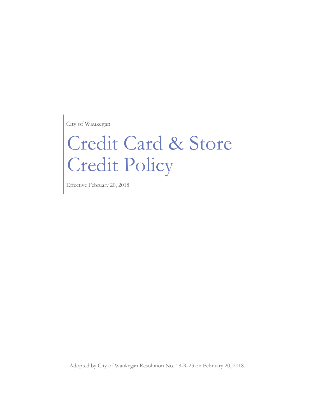City of Waukegan

# Credit Card & Store Credit Policy

Effective February 20, 2018

Adopted by City of Waukegan Resolution No. 18-R-23 on February 20, 2018.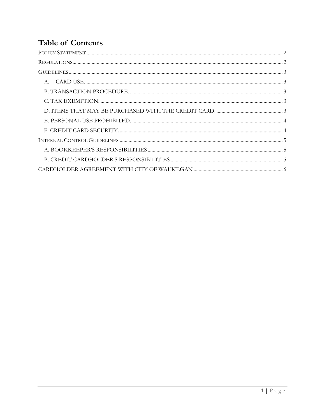# **Table of Contents**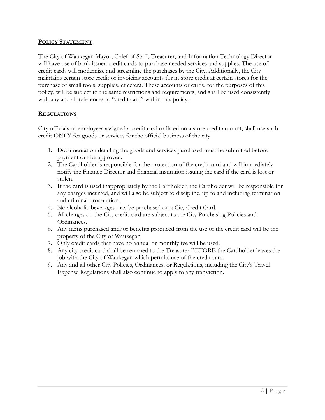#### <span id="page-2-0"></span>**POLICY STATEMENT**

The City of Waukegan Mayor, Chief of Staff, Treasurer, and Information Technology Director will have use of bank issued credit cards to purchase needed services and supplies. The use of credit cards will modernize and streamline the purchases by the City. Additionally, the City maintains certain store credit or invoicing accounts for in-store credit at certain stores for the purchase of small tools, supplies, et cetera. These accounts or cards, for the purposes of this policy, will be subject to the same restrictions and requirements, and shall be used consistently with any and all references to "credit card" within this policy.

#### <span id="page-2-1"></span>**REGULATIONS**

City officials or employees assigned a credit card or listed on a store credit account, shall use such credit ONLY for goods or services for the official business of the city.

- 1. Documentation detailing the goods and services purchased must be submitted before payment can be approved.
- 2. The Cardholder is responsible for the protection of the credit card and will immediately notify the Finance Director and financial institution issuing the card if the card is lost or stolen.
- 3. If the card is used inappropriately by the Cardholder, the Cardholder will be responsible for any charges incurred, and will also be subject to discipline, up to and including termination and criminal prosecution.
- 4. No alcoholic beverages may be purchased on a City Credit Card.
- 5. All charges on the City credit card are subject to the City Purchasing Policies and Ordinances.
- 6. Any items purchased and/or benefits produced from the use of the credit card will be the property of the City of Waukegan.
- 7. Only credit cards that have no annual or monthly fee will be used.
- 8. Any city credit card shall be returned to the Treasurer BEFORE the Cardholder leaves the job with the City of Waukegan which permits use of the credit card.
- 9. Any and all other City Policies, Ordinances, or Regulations, including the City's Travel Expense Regulations shall also continue to apply to any transaction.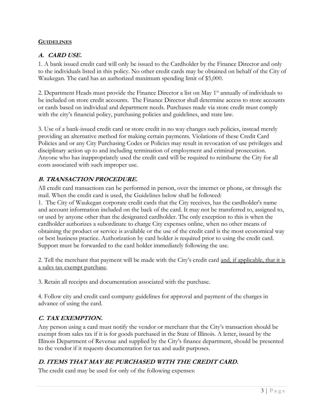#### <span id="page-3-0"></span>**GUIDELINES**

#### <span id="page-3-1"></span>**A. CARD USE.**

1. A bank issued credit card will only be issued to the Cardholder by the Finance Director and only to the individuals listed in this policy. No other credit cards may be obtained on behalf of the City of Waukegan. The card has an authorized maximum spending limit of \$5,000.

2. Department Heads must provide the Finance Director a list on May 1<sup>st</sup> annually of individuals to be included on store credit accounts. The Finance Director shall determine access to store accounts or cards based on individual and department needs. Purchases made via store credit must comply with the city's financial policy, purchasing policies and guidelines, and state law.

3. Use of a bank-issued credit card or store credit in no way changes such policies, instead merely providing an alternative method for making certain payments. Violations of these Credit Card Policies and or any City Purchasing Codes or Policies may result in revocation of use privileges and disciplinary action up to and including termination of employment and criminal prosecution. Anyone who has inappropriately used the credit card will be required to reimburse the City for all costs associated with such improper use.

# <span id="page-3-2"></span>**B. TRANSACTION PROCEDURE.**

All credit card transactions can be performed in person, over the internet or phone, or through the mail. When the credit card is used, the Guidelines below shall be followed:

1. The City of Waukegan corporate credit cards that the City receives, has the cardholder's name and account information included on the back of the card. It may not be transferred to, assigned to, or used by anyone other than the designated cardholder. The only exception to this is when the cardholder authorizes a subordinate to charge City expenses online, when no other means of obtaining the product or service is available or the use of the credit card is the most economical way or best business practice. Authorization by card holder is required prior to using the credit card. Support must be forwarded to the card holder immediately following the use.

2. Tell the merchant that payment will be made with the City's credit card and, if applicable, that it is a sales tax exempt purchase.

3. Retain all receipts and documentation associated with the purchase.

4. Follow city and credit card company guidelines for approval and payment of the charges in advance of using the card.

# <span id="page-3-3"></span>**C. TAX EXEMPTION.**

Any person using a card must notify the vendor or merchant that the City's transaction should be exempt from sales tax if it is for goods purchased in the State of Illinois. A letter, issued by the Illinois Department of Revenue and supplied by the City's finance department, should be presented to the vendor if it requests documentation for tax and audit purposes.

# <span id="page-3-4"></span>**D. ITEMS THAT MAY BE PURCHASED WITH THE CREDIT CARD.**

The credit card may be used for only of the following expenses: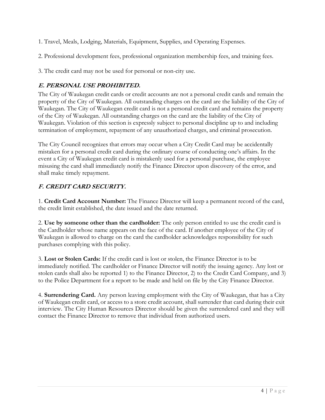- 1. Travel, Meals, Lodging, Materials, Equipment, Supplies, and Operating Expenses.
- 2. Professional development fees, professional organization membership fees, and training fees.
- 3. The credit card may not be used for personal or non-city use.

# <span id="page-4-0"></span>**E. PERSONAL USE PROHIBITED.**

The City of Waukegan credit cards or credit accounts are not a personal credit cards and remain the property of the City of Waukegan. All outstanding charges on the card are the liability of the City of Waukegan. The City of Waukegan credit card is not a personal credit card and remains the property of the City of Waukegan. All outstanding charges on the card are the liability of the City of Waukegan. Violation of this section is expressly subject to personal discipline up to and including termination of employment, repayment of any unauthorized charges, and criminal prosecution.

The City Council recognizes that errors may occur when a City Credit Card may be accidentally mistaken for a personal credit card during the ordinary course of conducting one's affairs. In the event a City of Waukegan credit card is mistakenly used for a personal purchase, the employee misusing the card shall immediately notify the Finance Director upon discovery of the error, and shall make timely repayment.

# <span id="page-4-1"></span>**F. CREDIT CARD SECURITY.**

1. **Credit Card Account Number:** The Finance Director will keep a permanent record of the card, the credit limit established, the date issued and the date returned.

2. **Use by someone other than the cardholder:** The only person entitled to use the credit card is the Cardholder whose name appears on the face of the card. If another employee of the City of Waukegan is allowed to charge on the card the cardholder acknowledges responsibility for such purchases complying with this policy.

3. **Lost or Stolen Cards:** If the credit card is lost or stolen, the Finance Director is to be immediately notified. The cardholder or Finance Director will notify the issuing agency. Any lost or stolen cards shall also be reported 1) to the Finance Director, 2) to the Credit Card Company, and 3) to the Police Department for a report to be made and held on file by the City Finance Director.

4. **Surrendering Card.** Any person leaving employment with the City of Waukegan, that has a City of Waukegan credit card, or access to a store credit account, shall surrender that card during their exit interview. The City Human Resources Director should be given the surrendered card and they will contact the Finance Director to remove that individual from authorized users.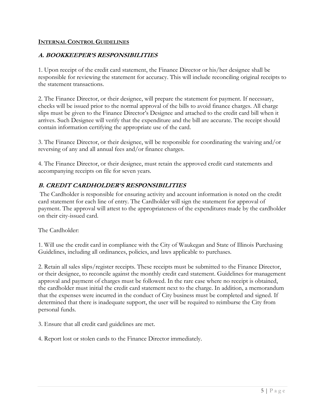#### <span id="page-5-0"></span>**INTERNAL CONTROL GUIDELINES**

### <span id="page-5-1"></span>**A. BOOKKEEPER'S RESPONSIBILITIES**

1. Upon receipt of the credit card statement, the Finance Director or his/her designee shall be responsible for reviewing the statement for accuracy. This will include reconciling original receipts to the statement transactions.

2. The Finance Director, or their designee, will prepare the statement for payment. If necessary, checks will be issued prior to the normal approval of the bills to avoid finance charges. All charge slips must be given to the Finance Director's Designee and attached to the credit card bill when it arrives. Such Designee will verify that the expenditure and the bill are accurate. The receipt should contain information certifying the appropriate use of the card.

3. The Finance Director, or their designee, will be responsible for coordinating the waiving and/or reversing of any and all annual fees and/or finance charges.

4. The Finance Director, or their designee, must retain the approved credit card statements and accompanying receipts on file for seven years.

### <span id="page-5-2"></span>**B. CREDIT CARDHOLDER'S RESPONSIBILITIES**

The Cardholder is responsible for ensuring activity and account information is noted on the credit card statement for each line of entry. The Cardholder will sign the statement for approval of payment. The approval will attest to the appropriateness of the expenditures made by the cardholder on their city-issued card.

The Cardholder:

1. Will use the credit card in compliance with the City of Waukegan and State of Illinois Purchasing Guidelines, including all ordinances, policies, and laws applicable to purchases.

2. Retain all sales slips/register receipts. These receipts must be submitted to the Finance Director, or their designee, to reconcile against the monthly credit card statement. Guidelines for management approval and payment of charges must be followed. In the rare case where no receipt is obtained, the cardholder must initial the credit card statement next to the charge. In addition, a memorandum that the expenses were incurred in the conduct of City business must be completed and signed. If determined that there is inadequate support, the user will be required to reimburse the City from personal funds.

3. Ensure that all credit card guidelines are met.

4. Report lost or stolen cards to the Finance Director immediately.